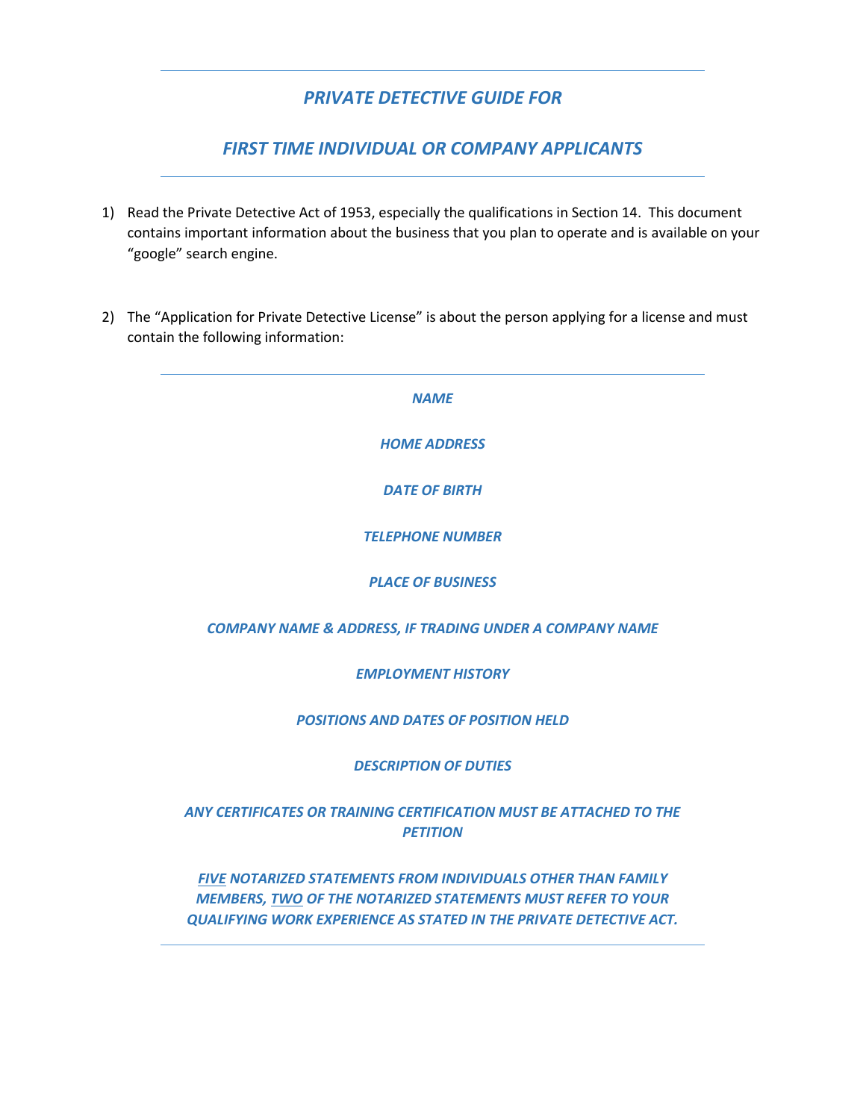## *PRIVATE DETECTIVE GUIDE FOR*

## *FIRST TIME INDIVIDUAL OR COMPANY APPLICANTS*

- 1) Read the Private Detective Act of 1953, especially the qualifications in Section 14. This document contains important information about the business that you plan to operate and is available on your "google" search engine.
- 2) The "Application for Private Detective License" is about the person applying for a license and must contain the following information:

*NAME HOME ADDRESS DATE OF BIRTH TELEPHONE NUMBER PLACE OF BUSINESS COMPANY NAME & ADDRESS, IF TRADING UNDER A COMPANY NAME EMPLOYMENT HISTORY POSITIONS AND DATES OF POSITION HELD DESCRIPTION OF DUTIES ANY CERTIFICATES OR TRAINING CERTIFICATION MUST BE ATTACHED TO THE PETITION FIVE NOTARIZED STATEMENTS FROM INDIVIDUALS OTHER THAN FAMILY MEMBERS, TWO OF THE NOTARIZED STATEMENTS MUST REFER TO YOUR* 

*QUALIFYING WORK EXPERIENCE AS STATED IN THE PRIVATE DETECTIVE ACT.*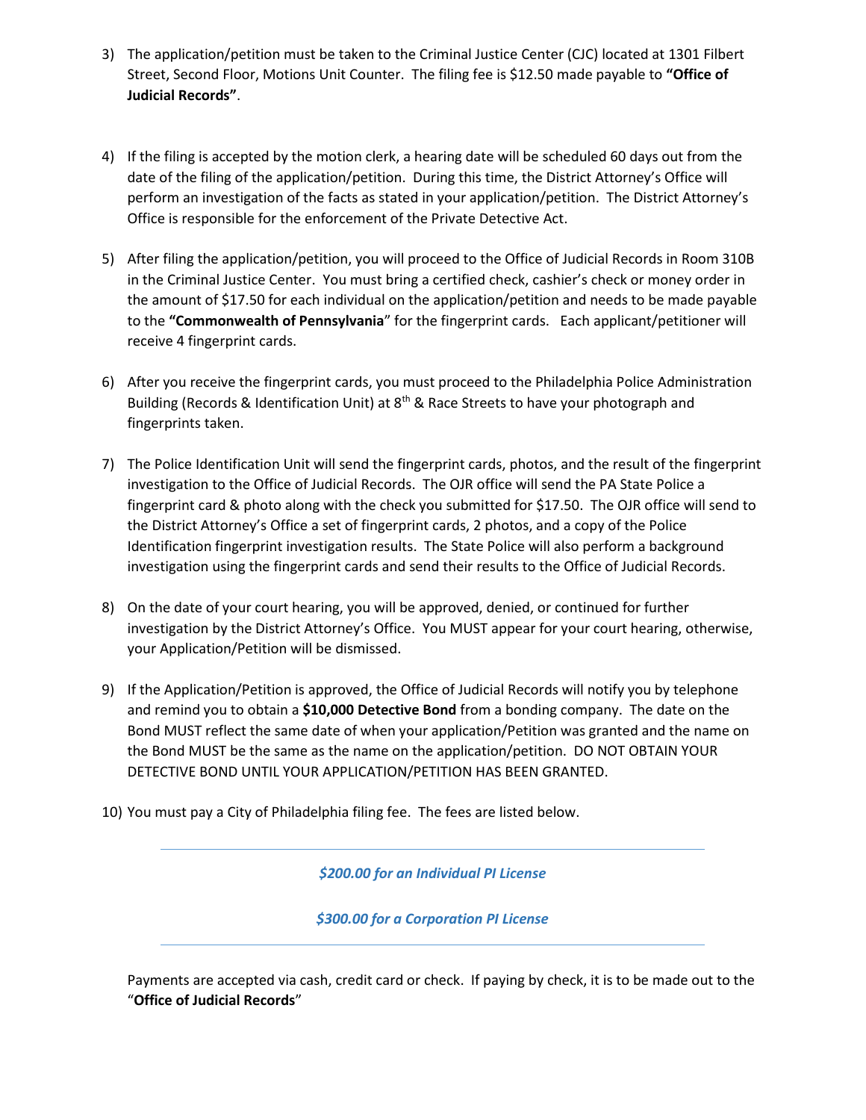- 3) The application/petition must be taken to the Criminal Justice Center (CJC) located at 1301 Filbert Street, Second Floor, Motions Unit Counter. The filing fee is \$12.50 made payable to **"Office of Judicial Records"**.
- 4) If the filing is accepted by the motion clerk, a hearing date will be scheduled 60 days out from the date of the filing of the application/petition. During this time, the District Attorney's Office will perform an investigation of the facts as stated in your application/petition. The District Attorney's Office is responsible for the enforcement of the Private Detective Act.
- 5) After filing the application/petition, you will proceed to the Office of Judicial Records in Room 310B in the Criminal Justice Center. You must bring a certified check, cashier's check or money order in the amount of \$17.50 for each individual on the application/petition and needs to be made payable to the **"Commonwealth of Pennsylvania**" for the fingerprint cards. Each applicant/petitioner will receive 4 fingerprint cards.
- 6) After you receive the fingerprint cards, you must proceed to the Philadelphia Police Administration Building (Records & Identification Unit) at 8<sup>th</sup> & Race Streets to have your photograph and fingerprints taken.
- 7) The Police Identification Unit will send the fingerprint cards, photos, and the result of the fingerprint investigation to the Office of Judicial Records. The OJR office will send the PA State Police a fingerprint card & photo along with the check you submitted for \$17.50. The OJR office will send to the District Attorney's Office a set of fingerprint cards, 2 photos, and a copy of the Police Identification fingerprint investigation results. The State Police will also perform a background investigation using the fingerprint cards and send their results to the Office of Judicial Records.
- 8) On the date of your court hearing, you will be approved, denied, or continued for further investigation by the District Attorney's Office. You MUST appear for your court hearing, otherwise, your Application/Petition will be dismissed.
- 9) If the Application/Petition is approved, the Office of Judicial Records will notify you by telephone and remind you to obtain a **\$10,000 Detective Bond** from a bonding company. The date on the Bond MUST reflect the same date of when your application/Petition was granted and the name on the Bond MUST be the same as the name on the application/petition. DO NOT OBTAIN YOUR DETECTIVE BOND UNTIL YOUR APPLICATION/PETITION HAS BEEN GRANTED.
- 10) You must pay a City of Philadelphia filing fee. The fees are listed below.

*\$200.00 for an Individual PI License*

*\$300.00 for a Corporation PI License*

Payments are accepted via cash, credit card or check. If paying by check, it is to be made out to the "**Office of Judicial Records**"